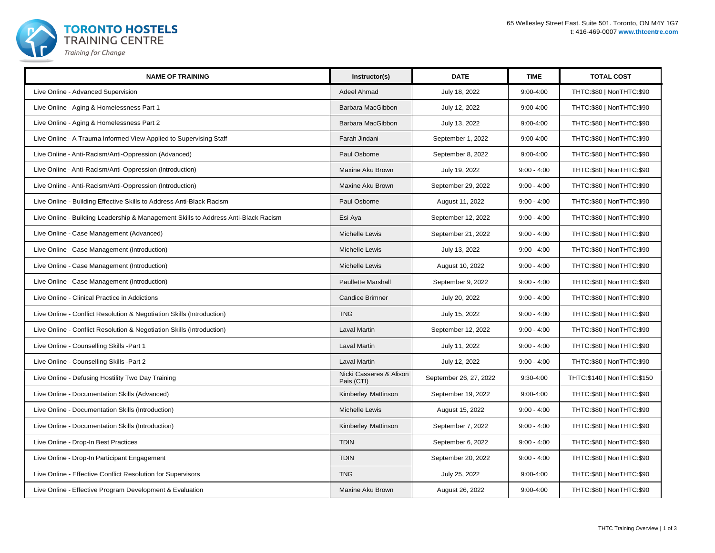

| <b>NAME OF TRAINING</b>                                                            | Instructor(s)                         | <b>DATE</b>            | <b>TIME</b>   | <b>TOTAL COST</b>            |
|------------------------------------------------------------------------------------|---------------------------------------|------------------------|---------------|------------------------------|
| Live Online - Advanced Supervision                                                 | Adeel Ahmad                           | July 18, 2022          | $9:00 - 4:00$ | THTC:\$80   NonTHTC:\$90     |
| Live Online - Aging & Homelessness Part 1                                          | Barbara MacGibbon                     | July 12, 2022          | $9:00 - 4:00$ | THTC:\$80   NonTHTC:\$90     |
| Live Online - Aging & Homelessness Part 2                                          | Barbara MacGibbon                     | July 13, 2022          | $9:00 - 4:00$ | THTC:\$80   NonTHTC:\$90     |
| Live Online - A Trauma Informed View Applied to Supervising Staff                  | Farah Jindani                         | September 1, 2022      | $9:00 - 4:00$ | THTC:\$80   NonTHTC:\$90     |
| Live Online - Anti-Racism/Anti-Oppression (Advanced)                               | Paul Osborne                          | September 8, 2022      | $9:00 - 4:00$ | THTC:\$80   NonTHTC:\$90     |
| Live Online - Anti-Racism/Anti-Oppression (Introduction)                           | Maxine Aku Brown                      | July 19, 2022          | $9:00 - 4:00$ | THTC:\$80   NonTHTC:\$90     |
| Live Online - Anti-Racism/Anti-Oppression (Introduction)                           | Maxine Aku Brown                      | September 29, 2022     | $9:00 - 4:00$ | THTC:\$80   NonTHTC:\$90     |
| Live Online - Building Effective Skills to Address Anti-Black Racism               | Paul Osborne                          | August 11, 2022        | $9:00 - 4:00$ | THTC:\$80   NonTHTC:\$90     |
| Live Online - Building Leadership & Management Skills to Address Anti-Black Racism | Esi Aya                               | September 12, 2022     | $9:00 - 4:00$ | THTC:\$80   NonTHTC:\$90     |
| Live Online - Case Management (Advanced)                                           | <b>Michelle Lewis</b>                 | September 21, 2022     | $9:00 - 4:00$ | THTC:\$80   NonTHTC:\$90     |
| Live Online - Case Management (Introduction)                                       | <b>Michelle Lewis</b>                 | July 13, 2022          | $9:00 - 4:00$ | THTC:\$80   NonTHTC:\$90     |
| Live Online - Case Management (Introduction)                                       | Michelle Lewis                        | August 10, 2022        | $9:00 - 4:00$ | THTC:\$80   NonTHTC:\$90     |
| Live Online - Case Management (Introduction)                                       | <b>Paullette Marshall</b>             | September 9, 2022      | $9:00 - 4:00$ | THTC:\$80   NonTHTC:\$90     |
| Live Online - Clinical Practice in Addictions                                      | <b>Candice Brimner</b>                | July 20, 2022          | $9:00 - 4:00$ | THTC:\$80   NonTHTC:\$90     |
| Live Online - Conflict Resolution & Negotiation Skills (Introduction)              | <b>TNG</b>                            | July 15, 2022          | $9:00 - 4:00$ | THTC:\$80   NonTHTC:\$90     |
| Live Online - Conflict Resolution & Negotiation Skills (Introduction)              | <b>Laval Martin</b>                   | September 12, 2022     | $9:00 - 4:00$ | THTC:\$80   NonTHTC:\$90     |
| Live Online - Counselling Skills -Part 1                                           | <b>Laval Martin</b>                   | July 11, 2022          | $9:00 - 4:00$ | THTC:\$80   NonTHTC:\$90     |
| Live Online - Counselling Skills -Part 2                                           | <b>Laval Martin</b>                   | July 12, 2022          | $9:00 - 4:00$ | THTC:\$80   NonTHTC:\$90     |
| Live Online - Defusing Hostility Two Day Training                                  | Nicki Casseres & Alison<br>Pais (CTI) | September 26, 27, 2022 | $9:30 - 4:00$ | THTC: \$140   NonTHTC: \$150 |
| Live Online - Documentation Skills (Advanced)                                      | Kimberley Mattinson                   | September 19, 2022     | $9:00 - 4:00$ | THTC:\$80   NonTHTC:\$90     |
| Live Online - Documentation Skills (Introduction)                                  | <b>Michelle Lewis</b>                 | August 15, 2022        | $9:00 - 4:00$ | THTC:\$80   NonTHTC:\$90     |
| Live Online - Documentation Skills (Introduction)                                  | Kimberley Mattinson                   | September 7, 2022      | $9:00 - 4:00$ | THTC:\$80   NonTHTC:\$90     |
| Live Online - Drop-In Best Practices                                               | <b>TDIN</b>                           | September 6, 2022      | $9:00 - 4:00$ | THTC:\$80   NonTHTC:\$90     |
| Live Online - Drop-In Participant Engagement                                       | <b>TDIN</b>                           | September 20, 2022     | $9:00 - 4:00$ | THTC:\$80   NonTHTC:\$90     |
| Live Online - Effective Conflict Resolution for Supervisors                        | <b>TNG</b>                            | July 25, 2022          | $9:00 - 4:00$ | THTC:\$80   NonTHTC:\$90     |
| Live Online - Effective Program Development & Evaluation                           | Maxine Aku Brown                      | August 26, 2022        | $9:00 - 4:00$ | THTC:\$80   NonTHTC:\$90     |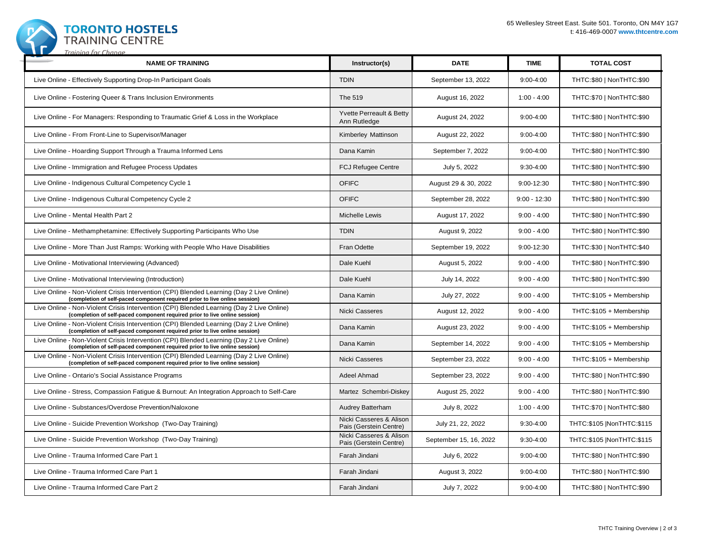

| <b>NAME OF TRAINING</b>                                                                                                                                                | Instructor(s)                                     | <b>DATE</b>            | <b>TIME</b>    | <b>TOTAL COST</b>            |
|------------------------------------------------------------------------------------------------------------------------------------------------------------------------|---------------------------------------------------|------------------------|----------------|------------------------------|
| Live Online - Effectively Supporting Drop-In Participant Goals                                                                                                         | <b>TDIN</b>                                       | September 13, 2022     | 9:00-4:00      | THTC:\$80   NonTHTC:\$90     |
| Live Online - Fostering Queer & Trans Inclusion Environments                                                                                                           | The 519                                           | August 16, 2022        | $1:00 - 4:00$  | THTC:\$70   NonTHTC:\$80     |
| Live Online - For Managers: Responding to Traumatic Grief & Loss in the Workplace                                                                                      | Yvette Perreault & Betty<br>Ann Rutledge          | August 24, 2022        | $9:00 - 4:00$  | THTC:\$80   NonTHTC:\$90     |
| Live Online - From Front-Line to Supervisor/Manager                                                                                                                    | Kimberley Mattinson                               | August 22, 2022        | $9:00 - 4:00$  | THTC:\$80   NonTHTC:\$90     |
| Live Online - Hoarding Support Through a Trauma Informed Lens                                                                                                          | Dana Kamin                                        | September 7, 2022      | $9:00 - 4:00$  | THTC:\$80   NonTHTC:\$90     |
| Live Online - Immigration and Refugee Process Updates                                                                                                                  | <b>FCJ Refugee Centre</b>                         | July 5, 2022           | 9:30-4:00      | THTC:\$80   NonTHTC:\$90     |
| Live Online - Indigenous Cultural Competency Cycle 1                                                                                                                   | <b>OFIFC</b>                                      | August 29 & 30, 2022   | 9:00-12:30     | THTC:\$80   NonTHTC:\$90     |
| Live Online - Indigenous Cultural Competency Cycle 2                                                                                                                   | <b>OFIFC</b>                                      | September 28, 2022     | $9:00 - 12:30$ | THTC:\$80   NonTHTC:\$90     |
| Live Online - Mental Health Part 2                                                                                                                                     | <b>Michelle Lewis</b>                             | August 17, 2022        | $9:00 - 4:00$  | THTC:\$80   NonTHTC:\$90     |
| Live Online - Methamphetamine: Effectively Supporting Participants Who Use                                                                                             | <b>TDIN</b>                                       | August 9, 2022         | $9:00 - 4:00$  | THTC:\$80   NonTHTC:\$90     |
| Live Online - More Than Just Ramps: Working with People Who Have Disabilities                                                                                          | Fran Odette                                       | September 19, 2022     | 9:00-12:30     | THTC:\$30   NonTHTC:\$40     |
| Live Online - Motivational Interviewing (Advanced)                                                                                                                     | Dale Kuehl                                        | August 5, 2022         | $9:00 - 4:00$  | THTC:\$80   NonTHTC:\$90     |
| Live Online - Motivational Interviewing (Introduction)                                                                                                                 | Dale Kuehl                                        | July 14, 2022          | $9:00 - 4:00$  | THTC:\$80   NonTHTC:\$90     |
| Live Online - Non-Violent Crisis Intervention (CPI) Blended Learning (Day 2 Live Online)<br>(completion of self-paced component required prior to live online session) | Dana Kamin                                        | July 27, 2022          | $9:00 - 4:00$  | THTC: \$105 + Membership     |
| Live Online - Non-Violent Crisis Intervention (CPI) Blended Learning (Day 2 Live Online)<br>(completion of self-paced component required prior to live online session) | Nicki Casseres                                    | August 12, 2022        | $9:00 - 4:00$  | THTC:\$105 + Membership      |
| Live Online - Non-Violent Crisis Intervention (CPI) Blended Learning (Day 2 Live Online)<br>(completion of self-paced component required prior to live online session) | Dana Kamin                                        | August 23, 2022        | $9:00 - 4:00$  | THTC:\$105 + Membership      |
| Live Online - Non-Violent Crisis Intervention (CPI) Blended Learning (Day 2 Live Online)<br>(completion of self-paced component required prior to live online session) | Dana Kamin                                        | September 14, 2022     | $9:00 - 4:00$  | THTC:\$105 + Membership      |
| Live Online - Non-Violent Crisis Intervention (CPI) Blended Learning (Day 2 Live Online)<br>(completion of self-paced component required prior to live online session) | Nicki Casseres                                    | September 23, 2022     | $9:00 - 4:00$  | THTC:\$105 + Membership      |
| Live Online - Ontario's Social Assistance Programs                                                                                                                     | Adeel Ahmad                                       | September 23, 2022     | $9:00 - 4:00$  | THTC:\$80   NonTHTC:\$90     |
| Live Online - Stress, Compassion Fatigue & Burnout: An Integration Approach to Self-Care                                                                               | Martez Schembri-Diskey                            | August 25, 2022        | $9:00 - 4:00$  | THTC:\$80   NonTHTC:\$90     |
| Live Online - Substances/Overdose Prevention/Naloxone                                                                                                                  | Audrey Batterham                                  | July 8, 2022           | $1:00 - 4:00$  | THTC:\$70   NonTHTC:\$80     |
| Live Online - Suicide Prevention Workshop (Two-Day Training)                                                                                                           | Nicki Casseres & Alison<br>Pais (Gerstein Centre) | July 21, 22, 2022      | 9:30-4:00      | THTC:\$105  NonTHTC:\$115    |
| Live Online - Suicide Prevention Workshop (Two-Day Training)                                                                                                           | Nicki Casseres & Alison<br>Pais (Gerstein Centre) | September 15, 16, 2022 | 9:30-4:00      | THTC: \$105   NonTHTC: \$115 |
| Live Online - Trauma Informed Care Part 1                                                                                                                              | Farah Jindani                                     | July 6, 2022           | 9:00-4:00      | THTC:\$80   NonTHTC:\$90     |
| Live Online - Trauma Informed Care Part 1                                                                                                                              | Farah Jindani                                     | August 3, 2022         | 9:00-4:00      | THTC:\$80   NonTHTC:\$90     |
| Live Online - Trauma Informed Care Part 2                                                                                                                              | Farah Jindani                                     | July 7, 2022           | $9:00 - 4:00$  | THTC:\$80   NonTHTC:\$90     |